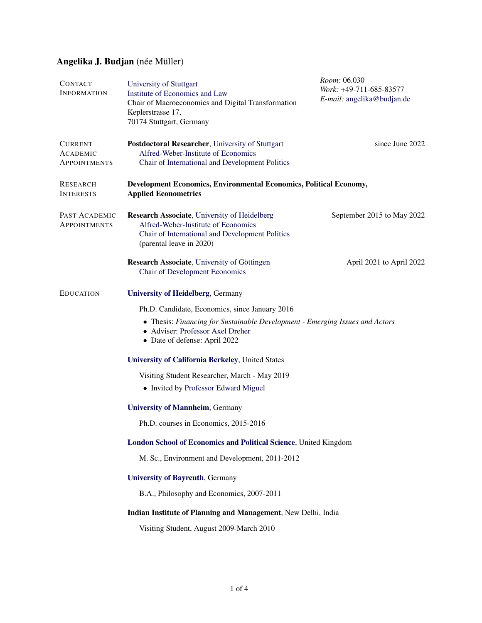## Angelika J. Budjan (née Müller)

| <b>CONTACT</b><br><b>INFORMATION</b>                     | University of Stuttgart<br>Institute of Economics and Law<br>Chair of Macroeconomics and Digital Transformation<br>Keplerstrasse 17,<br>70174 Stuttgart, Germany           | Room: 06.030<br>Work: +49-711-685-83577<br>E-mail: angelika@budjan.de |  |
|----------------------------------------------------------|----------------------------------------------------------------------------------------------------------------------------------------------------------------------------|-----------------------------------------------------------------------|--|
| <b>CURRENT</b><br><b>ACADEMIC</b><br><b>APPOINTMENTS</b> | Postdoctoral Researcher, University of Stuttgart<br>Alfred-Weber-Institute of Economics<br>Chair of International and Development Politics                                 | since June 2022                                                       |  |
| <b>RESEARCH</b><br><b>INTERESTS</b>                      | Development Economics, Environmental Economics, Political Economy,<br><b>Applied Econometrics</b>                                                                          |                                                                       |  |
| PAST ACADEMIC<br><b>APPOINTMENTS</b>                     | <b>Research Associate</b> , University of Heidelberg<br>Alfred-Weber-Institute of Economics<br>Chair of International and Development Politics<br>(parental leave in 2020) | September 2015 to May 2022                                            |  |
|                                                          | Research Associate, University of Göttingen<br><b>Chair of Development Economics</b>                                                                                       | April 2021 to April 2022                                              |  |
| <b>EDUCATION</b>                                         | <b>University of Heidelberg, Germany</b>                                                                                                                                   |                                                                       |  |
|                                                          | Ph.D. Candidate, Economics, since January 2016                                                                                                                             |                                                                       |  |
|                                                          | • Thesis: Financing for Sustainable Development - Emerging Issues and Actors<br>• Adviser: Professor Axel Dreher<br>• Date of defense: April 2022                          |                                                                       |  |
|                                                          | <b>University of California Berkeley, United States</b>                                                                                                                    |                                                                       |  |
|                                                          | Visiting Student Researcher, March - May 2019                                                                                                                              |                                                                       |  |
|                                                          | • Invited by Professor Edward Miguel                                                                                                                                       |                                                                       |  |
|                                                          | <b>University of Mannheim, Germany</b>                                                                                                                                     |                                                                       |  |
|                                                          | Ph.D. courses in Economics, 2015-2016                                                                                                                                      |                                                                       |  |
|                                                          | London School of Economics and Political Science, United Kingdom                                                                                                           |                                                                       |  |
|                                                          | M. Sc., Environment and Development, 2011-2012                                                                                                                             |                                                                       |  |
|                                                          | <b>University of Bayreuth, Germany</b>                                                                                                                                     |                                                                       |  |
|                                                          | B.A., Philosophy and Economics, 2007-2011                                                                                                                                  |                                                                       |  |
|                                                          | Indian Institute of Planning and Management, New Delhi, India                                                                                                              |                                                                       |  |
|                                                          | Visiting Student, August 2009-March 2010                                                                                                                                   |                                                                       |  |
|                                                          |                                                                                                                                                                            |                                                                       |  |
|                                                          |                                                                                                                                                                            |                                                                       |  |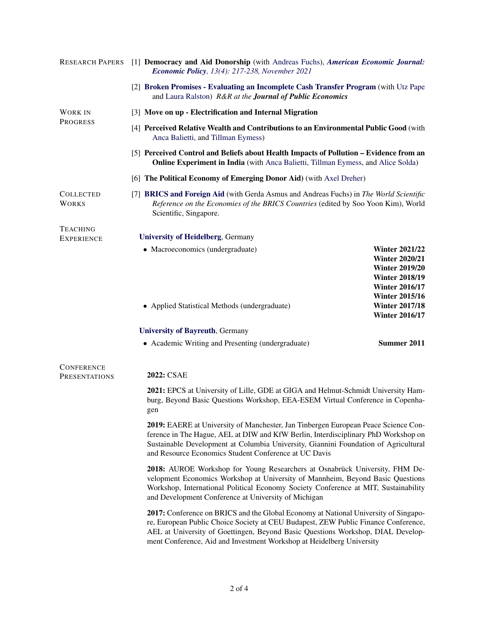| <b>RESEARCH PAPERS</b>                    | [1] Democracy and Aid Donorship (with Andreas Fuchs), American Economic Journal:<br><b>Economic Policy</b> , 13(4): 217-238, November 2021                                                                                                                                                                                            |                                                                                                                           |  |  |
|-------------------------------------------|---------------------------------------------------------------------------------------------------------------------------------------------------------------------------------------------------------------------------------------------------------------------------------------------------------------------------------------|---------------------------------------------------------------------------------------------------------------------------|--|--|
|                                           | [2] Broken Promises - Evaluating an Incomplete Cash Transfer Program (with Utz Pape<br>and Laura Ralston) R&R at the Journal of Public Economics                                                                                                                                                                                      |                                                                                                                           |  |  |
| <b>WORK IN</b><br><b>PROGRESS</b>         | [3] Move on up - Electrification and Internal Migration                                                                                                                                                                                                                                                                               |                                                                                                                           |  |  |
|                                           | [4] Perceived Relative Wealth and Contributions to an Environmental Public Good (with<br>Anca Balietti, and Tillman Eymess)                                                                                                                                                                                                           |                                                                                                                           |  |  |
|                                           | [5] Perceived Control and Beliefs about Health Impacts of Pollution – Evidence from an<br>Online Experiment in India (with Anca Balietti, Tillman Eymess, and Alice Solda)                                                                                                                                                            |                                                                                                                           |  |  |
|                                           | [6] The Political Economy of Emerging Donor Aid) (with Axel Dreher)                                                                                                                                                                                                                                                                   |                                                                                                                           |  |  |
| <b>COLLECTED</b><br><b>WORKS</b>          | [7] BRICS and Foreign Aid (with Gerda Asmus and Andreas Fuchs) in The World Scientific<br>Reference on the Economies of the BRICS Countries (edited by Soo Yoon Kim), World<br>Scientific, Singapore.                                                                                                                                 |                                                                                                                           |  |  |
| <b>TEACHING</b>                           | <b>University of Heidelberg, Germany</b>                                                                                                                                                                                                                                                                                              |                                                                                                                           |  |  |
| <b>EXPERIENCE</b>                         | • Macroeconomics (undergraduate)                                                                                                                                                                                                                                                                                                      | <b>Winter 2021/22</b>                                                                                                     |  |  |
|                                           |                                                                                                                                                                                                                                                                                                                                       | <b>Winter 2020/21</b><br><b>Winter 2019/20</b><br><b>Winter 2018/19</b><br><b>Winter 2016/17</b><br><b>Winter 2015/16</b> |  |  |
|                                           | • Applied Statistical Methods (undergraduate)                                                                                                                                                                                                                                                                                         | <b>Winter 2017/18</b><br><b>Winter 2016/17</b>                                                                            |  |  |
|                                           | <b>University of Bayreuth, Germany</b>                                                                                                                                                                                                                                                                                                |                                                                                                                           |  |  |
|                                           | • Academic Writing and Presenting (undergraduate)                                                                                                                                                                                                                                                                                     | Summer 2011                                                                                                               |  |  |
| <b>CONFERENCE</b><br><b>PRESENTATIONS</b> | 2022: CSAE                                                                                                                                                                                                                                                                                                                            |                                                                                                                           |  |  |
|                                           | 2021: EPCS at University of Lille, GDE at GIGA and Helmut-Schmidt University Ham-<br>burg, Beyond Basic Questions Workshop, EEA-ESEM Virtual Conference in Copenha-<br>gen                                                                                                                                                            |                                                                                                                           |  |  |
|                                           | 2019: EAERE at University of Manchester, Jan Tinbergen European Peace Science Con-<br>ference in The Hague, AEL at DIW and KfW Berlin, Interdisciplinary PhD Workshop on<br>Sustainable Development at Columbia University, Giannini Foundation of Agricultural<br>and Resource Economics Student Conference at UC Davis              |                                                                                                                           |  |  |
|                                           | 2018: AUROE Workshop for Young Researchers at Osnabrück University, FHM De-<br>velopment Economics Workshop at University of Mannheim, Beyond Basic Questions<br>Workshop, International Political Economy Society Conference at MIT, Sustainability<br>and Development Conference at University of Michigan                          |                                                                                                                           |  |  |
|                                           | 2017: Conference on BRICS and the Global Economy at National University of Singapo-<br>re, European Public Choice Society at CEU Budapest, ZEW Public Finance Conference,<br>AEL at University of Goettingen, Beyond Basic Questions Workshop, DIAL Develop-<br>ment Conference, Aid and Investment Workshop at Heidelberg University |                                                                                                                           |  |  |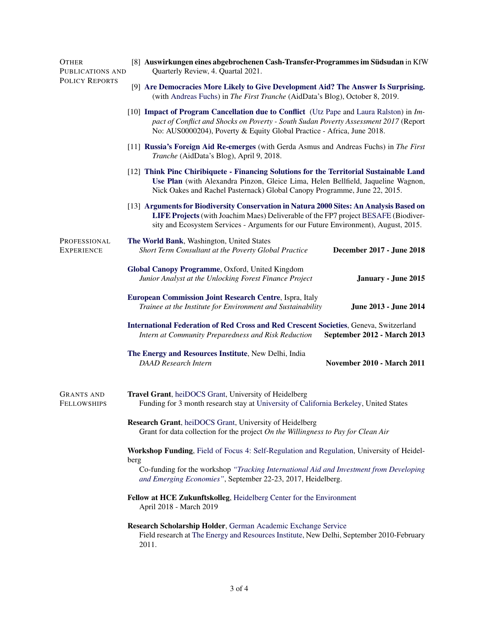| <b>OTHER</b><br>PUBLICATIONS AND<br><b>POLICY REPORTS</b> | [8] Auswirkungen eines abgebrochenen Cash-Transfer-Programmes im Südsudan in KfW<br>Quarterly Review, 4. Quartal 2021.                                                                                                                                              |  |  |
|-----------------------------------------------------------|---------------------------------------------------------------------------------------------------------------------------------------------------------------------------------------------------------------------------------------------------------------------|--|--|
|                                                           | [9] Are Democracies More Likely to Give Development Aid? The Answer Is Surprising.<br>(with Andreas Fuchs) in The First Tranche (AidData's Blog), October 8, 2019.                                                                                                  |  |  |
|                                                           | [10] Impact of Program Cancellation due to Conflict (Utz Pape and Laura Ralston) in <i>Im</i> -<br>pact of Conflict and Shocks on Poverty - South Sudan Poverty Assessment 2017 (Report<br>No: AUS0000204), Poverty & Equity Global Practice - Africa, June 2018.   |  |  |
|                                                           | [11] Russia's Foreign Aid Re-emerges (with Gerda Asmus and Andreas Fuchs) in The First<br>Tranche (AidData's Blog), April 9, 2018.                                                                                                                                  |  |  |
|                                                           | [12] Think Pinc Chiribiquete - Financing Solutions for the Territorial Sustainable Land<br>Use Plan (with Alexandra Pinzon, Gleice Lima, Helen Bellfield, Jaqueline Wagnon,<br>Nick Oakes and Rachel Pasternack) Global Canopy Programme, June 22, 2015.            |  |  |
|                                                           | [13] Arguments for Biodiversity Conservation in Natura 2000 Sites: An Analysis Based on<br>LIFE Projects (with Joachim Maes) Deliverable of the FP7 project BESAFE (Biodiver-<br>sity and Ecosystem Services - Arguments for our Future Environment), August, 2015. |  |  |
| PROFESSIONAL<br><b>EXPERIENCE</b>                         | The World Bank, Washington, United States<br>Short Term Consultant at the Poverty Global Practice<br>December 2017 - June 2018                                                                                                                                      |  |  |
|                                                           | Global Canopy Programme, Oxford, United Kingdom<br>Junior Analyst at the Unlocking Forest Finance Project<br>January - June 2015                                                                                                                                    |  |  |
|                                                           | European Commission Joint Research Centre, Ispra, Italy<br>Trainee at the Institute for Environment and Sustainability<br>June 2013 - June 2014                                                                                                                     |  |  |
|                                                           | <b>International Federation of Red Cross and Red Crescent Societies, Geneva, Switzerland</b><br>Intern at Community Preparedness and Risk Reduction<br>September 2012 - March 2013                                                                                  |  |  |
|                                                           | The Energy and Resources Institute, New Delhi, India<br><b>DAAD</b> Research Intern<br>November 2010 - March 2011                                                                                                                                                   |  |  |
| <b>GRANTS AND</b><br><b>FELLOWSHIPS</b>                   | Travel Grant, heiDOCS Grant, University of Heidelberg<br>Funding for 3 month research stay at University of California Berkeley, United States                                                                                                                      |  |  |
|                                                           | Research Grant, heiDOCS Grant, University of Heidelberg<br>Grant for data collection for the project On the Willingness to Pay for Clean Air                                                                                                                        |  |  |
|                                                           | Workshop Funding, Field of Focus 4: Self-Regulation and Regulation, University of Heidel-<br>berg<br>Co-funding for the workshop "Tracking International Aid and Investment from Developing<br>and Emerging Economies", September 22-23, 2017, Heidelberg.          |  |  |
|                                                           | Fellow at HCE Zukunftskolleg, Heidelberg Center for the Environment<br>April 2018 - March 2019                                                                                                                                                                      |  |  |
|                                                           | Research Scholarship Holder, German Academic Exchange Service<br>Field research at The Energy and Resources Institute, New Delhi, September 2010-February<br>2011.                                                                                                  |  |  |